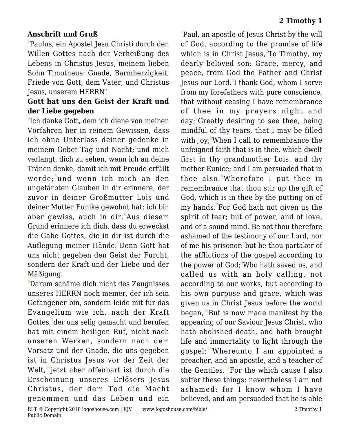## **Anschrift und Gruß**

<sup>1</sup>Paulus, ein Apostel Jesu Christi durch den Willen Gottes nach der Verheißung des Lebens in Christus Jesus, $2$ meinem lieben Sohn Timotheus: Gnade, Barmherzigkeit, Friede von Gott, dem Vater, und Christus Jesus, unserem HERRN!

## **Gott hat uns den Geist der Kraft und der Liebe gegeben**

 ${}^{3}$ Ich danke Gott, dem ich diene von meinen Vorfahren her in reinem Gewissen, dass ich ohne Unterlass deiner gedenke in meinem Gebet Tag und Nacht; $^4$ und mich verlangt, dich zu sehen, wenn ich an deine Tränen denke, damit ich mit Freude erfüllt werde;<sup>5</sup>und wenn ich mich an den ungefärbten Glauben in dir erinnere, der zuvor in deiner Großmutter Lois und deiner Mutter Eunike gewohnt hat; ich bin aber gewiss, auch in dir.<sup>6</sup>Aus diesem Grund erinnere ich dich, dass du erweckst die Gabe Gottes, die in dir ist durch die Auflegung meiner Hände.<sup>7</sup>Denn Gott hat uns nicht gegeben den Geist der Furcht, sondern der Kraft und der Liebe und der Mäßigung.

<sup>8</sup>Darum schäme dich nicht des Zeugnisses unseres HERRN noch meiner, der ich sein Gefangener bin, sondern leide mit für das Evangelium wie ich, nach der Kraft Gottes,<sup>9</sup>der uns selig gemacht und berufen hat mit einem heiligen Ruf, nicht nach unseren Werken, sondern nach dem Vorsatz und der Gnade, die uns gegeben ist in Christus Jesus vor der Zeit der Welt,<sup>10</sup>jetzt aber offenbart ist durch die Erscheinung unseres Erlösers Jesus Christus, der dem Tod die Macht genommen und das Leben und ein

<sup>1</sup>Paul, an apostle of Jesus Christ by the will of God, according to the promise of life which is in Christ Jesus,<sup>2</sup>To Timothy, my dearly beloved son: Grace, mercy, and peace, from God the Father and Christ Jesus our Lord. $^3$ I thank God, whom I serve from my forefathers with pure conscience, that without ceasing I have remembrance of thee in my prayers night and  $day$ ;  $4$ Greatly desiring to see thee, being mindful of thy tears, that I may be filled with joy;<sup>5</sup>When I call to remembrance the unfeigned faith that is in thee, which dwelt first in thy grandmother Lois, and thy mother Eunice; and I am persuaded that in thee also. <sup>6</sup>Wherefore I put thee in remembrance that thou stir up the gift of God, which is in thee by the putting on of my hands.<sup>7</sup>For God hath not given us the spirit of fear; but of power, and of love, and of a sound mind.<sup>8</sup>Be not thou therefore ashamed of the testimony of our Lord, nor of me his prisoner: but be thou partaker of the afflictions of the gospel according to the power of God;<sup>9</sup>Who hath saved us, and called us with an holy calling, not according to our works, but according to his own purpose and grace, which was given us in Christ Jesus before the world began, $10B$ ut is now made manifest by the appearing of our Saviour Jesus Christ, who hath abolished death, and hath brought life and immortality to light through the gospel: $11$ Whereunto I am appointed a preacher, and an apostle, and a teacher of the Gentiles.<sup>12</sup>For the which cause I also suffer these things: nevertheless I am not ashamed: for I know whom I have believed, and am persuaded that he is able